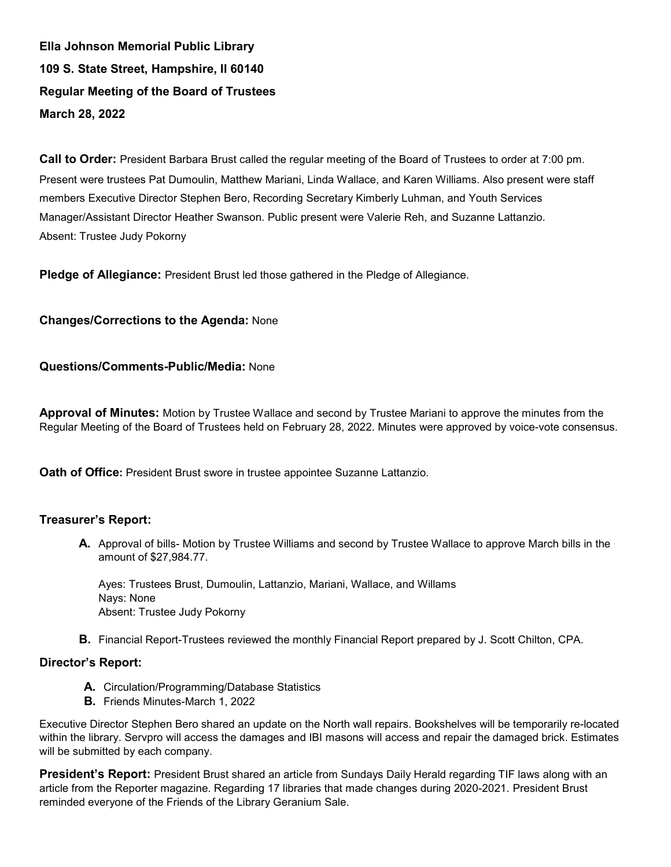**Ella Johnson Memorial Public Library 109 S. State Street, Hampshire, Il 60140 Regular Meeting of the Board of Trustees March 28, 2022**

**Call to Order:** President Barbara Brust called the regular meeting of the Board of Trustees to order at 7:00 pm. Present were trustees Pat Dumoulin, Matthew Mariani, Linda Wallace, and Karen Williams. Also present were staff members Executive Director Stephen Bero, Recording Secretary Kimberly Luhman, and Youth Services Manager/Assistant Director Heather Swanson. Public present were Valerie Reh, and Suzanne Lattanzio. Absent: Trustee Judy Pokorny

**Pledge of Allegiance:** President Brust led those gathered in the Pledge of Allegiance.

## **Changes/Corrections to the Agenda:** None

### **Questions/Comments-Public/Media:** None

**Approval of Minutes:** Motion by Trustee Wallace and second by Trustee Mariani to approve the minutes from the Regular Meeting of the Board of Trustees held on February 28, 2022. Minutes were approved by voice-vote consensus.

**Oath of Office:** President Brust swore in trustee appointee Suzanne Lattanzio.

### **Treasurer's Report:**

**A.** Approval of bills- Motion by Trustee Williams and second by Trustee Wallace to approve March bills in the amount of \$27,984.77.

Ayes: Trustees Brust, Dumoulin, Lattanzio, Mariani, Wallace, and Willams Nays: None Absent: Trustee Judy Pokorny

**B.** Financial Report-Trustees reviewed the monthly Financial Report prepared by J. Scott Chilton, CPA.

# **Director's Report:**

- **A.** Circulation/Programming/Database Statistics
- **B.** Friends Minutes-March 1, 2022

Executive Director Stephen Bero shared an update on the North wall repairs. Bookshelves will be temporarily re-located within the library. Servpro will access the damages and IBI masons will access and repair the damaged brick. Estimates will be submitted by each company.

**President's Report:** President Brust shared an article from Sundays Daily Herald regarding TIF laws along with an article from the Reporter magazine. Regarding 17 libraries that made changes during 2020-2021. President Brust reminded everyone of the Friends of the Library Geranium Sale.